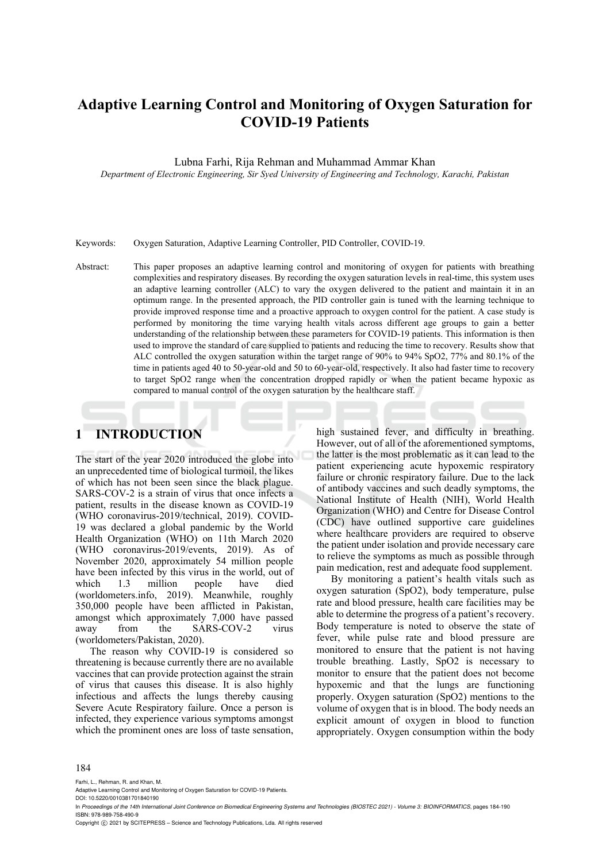# **Adaptive Learning Control and Monitoring of Oxygen Saturation for COVID-19 Patients**

Lubna Farhi, Rija Rehman and Muhammad Ammar Khan

*Department of Electronic Engineering, Sir Syed University of Engineering and Technology, Karachi, Pakistan* 

Keywords: Oxygen Saturation, Adaptive Learning Controller, PID Controller, COVID-19.

Abstract: This paper proposes an adaptive learning control and monitoring of oxygen for patients with breathing complexities and respiratory diseases. By recording the oxygen saturation levels in real-time, this system uses an adaptive learning controller (ALC) to vary the oxygen delivered to the patient and maintain it in an optimum range. In the presented approach, the PID controller gain is tuned with the learning technique to provide improved response time and a proactive approach to oxygen control for the patient. A case study is performed by monitoring the time varying health vitals across different age groups to gain a better understanding of the relationship between these parameters for COVID-19 patients. This information is then used to improve the standard of care supplied to patients and reducing the time to recovery. Results show that ALC controlled the oxygen saturation within the target range of 90% to 94% SpO2, 77% and 80.1% of the time in patients aged 40 to 50-year-old and 50 to 60-year-old, respectively. It also had faster time to recovery to target SpO2 range when the concentration dropped rapidly or when the patient became hypoxic as compared to manual control of the oxygen saturation by the healthcare staff.

## **1 INTRODUCTION**

The start of the year 2020 introduced the globe into an unprecedented time of biological turmoil, the likes of which has not been seen since the black plague. SARS-COV-2 is a strain of virus that once infects a patient, results in the disease known as COVID-19 (WHO coronavirus-2019/technical, 2019). COVID-19 was declared a global pandemic by the World Health Organization (WHO) on 11th March 2020 (WHO coronavirus-2019/events, 2019). As of November 2020, approximately 54 million people have been infected by this virus in the world, out of which 1.3 million people have died (worldometers.info, 2019). Meanwhile, roughly 350,000 people have been afflicted in Pakistan, amongst which approximately 7,000 have passed away from the SARS-COV-2 virus (worldometers/Pakistan, 2020).

The reason why COVID-19 is considered so threatening is because currently there are no available vaccines that can provide protection against the strain of virus that causes this disease. It is also highly infectious and affects the lungs thereby causing Severe Acute Respiratory failure. Once a person is infected, they experience various symptoms amongst which the prominent ones are loss of taste sensation,

high sustained fever, and difficulty in breathing. However, out of all of the aforementioned symptoms, the latter is the most problematic as it can lead to the patient experiencing acute hypoxemic respiratory failure or chronic respiratory failure. Due to the lack of antibody vaccines and such deadly symptoms, the National Institute of Health (NIH), World Health Organization (WHO) and Centre for Disease Control (CDC) have outlined supportive care guidelines where healthcare providers are required to observe the patient under isolation and provide necessary care to relieve the symptoms as much as possible through pain medication, rest and adequate food supplement.

By monitoring a patient's health vitals such as oxygen saturation (SpO2), body temperature, pulse rate and blood pressure, health care facilities may be able to determine the progress of a patient's recovery. Body temperature is noted to observe the state of fever, while pulse rate and blood pressure are monitored to ensure that the patient is not having trouble breathing. Lastly, SpO2 is necessary to monitor to ensure that the patient does not become hypoxemic and that the lungs are functioning properly. Oxygen saturation (SpO2) mentions to the volume of oxygen that is in blood. The body needs an explicit amount of oxygen in blood to function appropriately. Oxygen consumption within the body

#### 184

Farhi, L., Rehman, R. and Khan, M.

DOI: 10.5220/0010381701840190

Copyright (c) 2021 by SCITEPRESS - Science and Technology Publications, Lda. All rights reserved

Adaptive Learning Control and Monitoring of Oxygen Saturation for COVID-19 Patients.

In *Proceedings of the 14th International Joint Conference on Biomedical Engineering Systems and Technologies (BIOSTEC 2021) - Volume 3: BIOINFORMATICS*, pages 184-190 ISBN: 978-989-758-490-9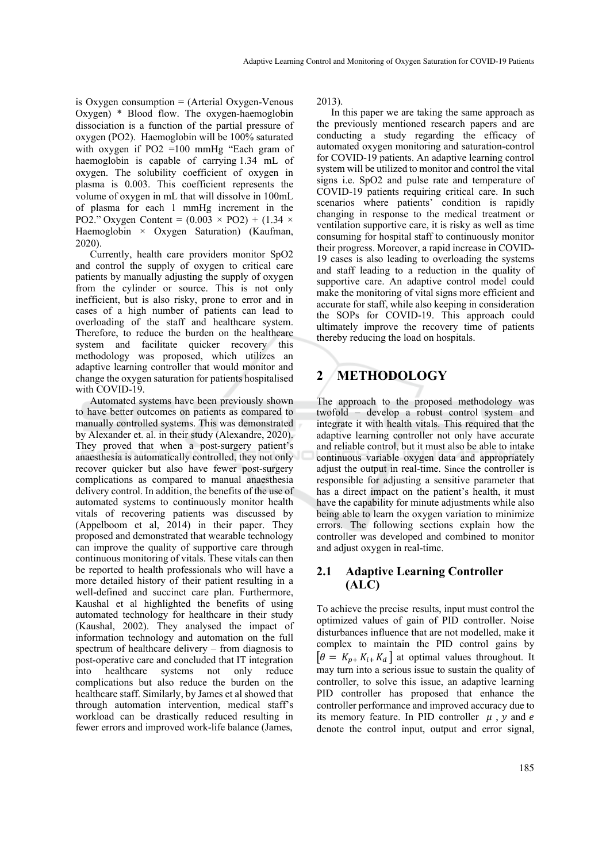is Oxygen consumption = (Arterial Oxygen-Venous Oxygen) \* Blood flow. The oxygen-haemoglobin dissociation is a function of the partial pressure of oxygen (PO2). Haemoglobin will be 100% saturated with oxygen if PO2 =100 mmHg "Each gram of haemoglobin is capable of carrying 1.34 mL of oxygen. The solubility coefficient of oxygen in plasma is 0.003. This coefficient represents the volume of oxygen in mL that will dissolve in 100mL of plasma for each 1 mmHg increment in the PO2." Oxygen Content =  $(0.003 \times PQ2) + (1.34 \times$ Haemoglobin × Oxygen Saturation) (Kaufman, 2020).

Currently, health care providers monitor SpO2 and control the supply of oxygen to critical care patients by manually adjusting the supply of oxygen from the cylinder or source. This is not only inefficient, but is also risky, prone to error and in cases of a high number of patients can lead to overloading of the staff and healthcare system. Therefore, to reduce the burden on the healthcare system and facilitate quicker recovery this methodology was proposed, which utilizes an adaptive learning controller that would monitor and change the oxygen saturation for patients hospitalised with COVID-19.

Automated systems have been previously shown to have better outcomes on patients as compared to manually controlled systems. This was demonstrated by Alexander et. al. in their study (Alexandre, 2020). They proved that when a post-surgery patient's anaesthesia is automatically controlled, they not only recover quicker but also have fewer post-surgery complications as compared to manual anaesthesia delivery control. In addition, the benefits of the use of automated systems to continuously monitor health vitals of recovering patients was discussed by (Appelboom et al, 2014) in their paper. They proposed and demonstrated that wearable technology can improve the quality of supportive care through continuous monitoring of vitals. These vitals can then be reported to health professionals who will have a more detailed history of their patient resulting in a well-defined and succinct care plan. Furthermore, Kaushal et al highlighted the benefits of using automated technology for healthcare in their study (Kaushal, 2002). They analysed the impact of information technology and automation on the full spectrum of healthcare delivery – from diagnosis to post-operative care and concluded that IT integration into healthcare systems not only reduce complications but also reduce the burden on the healthcare staff. Similarly, by James et al showed that through automation intervention, medical staff's workload can be drastically reduced resulting in fewer errors and improved work-life balance (James,

2013).

In this paper we are taking the same approach as the previously mentioned research papers and are conducting a study regarding the efficacy of automated oxygen monitoring and saturation-control for COVID-19 patients. An adaptive learning control system will be utilized to monitor and control the vital signs i.e. SpO2 and pulse rate and temperature of COVID-19 patients requiring critical care. In such scenarios where patients' condition is rapidly changing in response to the medical treatment or ventilation supportive care, it is risky as well as time consuming for hospital staff to continuously monitor their progress. Moreover, a rapid increase in COVID-19 cases is also leading to overloading the systems and staff leading to a reduction in the quality of supportive care. An adaptive control model could make the monitoring of vital signs more efficient and accurate for staff, while also keeping in consideration the SOPs for COVID-19. This approach could ultimately improve the recovery time of patients thereby reducing the load on hospitals.

## **2 METHODOLOGY**

The approach to the proposed methodology was twofold – develop a robust control system and integrate it with health vitals. This required that the adaptive learning controller not only have accurate and reliable control, but it must also be able to intake continuous variable oxygen data and appropriately adjust the output in real-time. Since the controller is responsible for adjusting a sensitive parameter that has a direct impact on the patient's health, it must have the capability for minute adjustments while also being able to learn the oxygen variation to minimize errors. The following sections explain how the controller was developed and combined to monitor and adjust oxygen in real-time.

### **2.1 Adaptive Learning Controller (ALC)**

To achieve the precise results, input must control the optimized values of gain of PID controller. Noise disturbances influence that are not modelled, make it complex to maintain the PID control gains by  $\begin{bmatrix} \theta = K_{n+1} K_{i+1} K_{d} \end{bmatrix}$  at optimal values throughout. It may turn into a serious issue to sustain the quality of controller, to solve this issue, an adaptive learning PID controller has proposed that enhance the controller performance and improved accuracy due to its memory feature. In PID controller  $\mu$ , y and e denote the control input, output and error signal,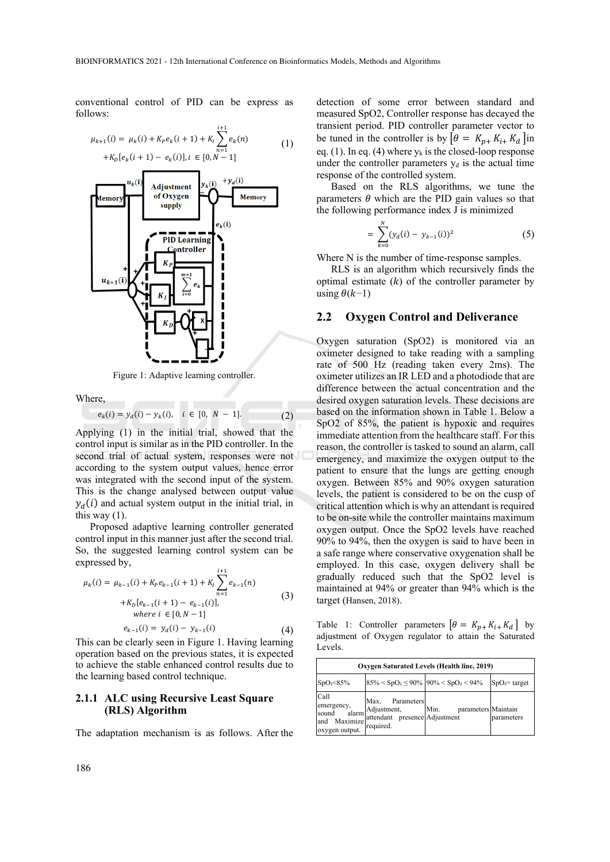conventional control of PID can be express as follows:

$$
\mu_{k+1}(i) = \mu_k(i) + K_P e_k(i+1) + K_I \sum_{n=1}^{i+1} e_k(n)
$$
  
+
$$
K_D[e_k(i+1) - e_k(i)], i \in [0, N-1]
$$
 (1)



Figure 1: Adaptive learning controller.

Where,

re,<br>  $e_k(i) = y_d(i) - y_k(i), \quad i \in [0, N - 1].$  (2)

Applying (1) in the initial trial, showed that the control input is similar as in the PID controller. In the second trial of actual system, responses were not according to the system output values, hence error was integrated with the second input of the system. This is the change analysed between output value  $y_d(i)$  and actual system output in the initial trial, in this way  $(1)$ .

Proposed adaptive learning controller generated control input in this manner just after the second trial. So, the suggested learning control system can be expressed by,  $i + 1$ 

$$
\mu_k(i) = \mu_{k-1}(i) + K_P e_{k-1}(i+1) + K_I \sum_{n=1}^{N} e_{k-1}(n)
$$
  
+
$$
K_D[e_{k-1}(i+1) - e_{k-1}(i)],
$$
  
where  $i \in [0, N-1]$   

$$
e_{k-1}(i) = y_d(i) - y_{k-1}(i)
$$
 (4)

This can be clearly seen in Figure 1. Having learning operation based on the previous states, it is expected to achieve the stable enhanced control results due to the learning based control technique.

#### **2.1.1 ALC using Recursive Least Square (RLS) Algorithm**

The adaptation mechanism is as follows. After the

detection of some error between standard and measured SpO2, Controller response has decayed the transient period. PID controller parameter vector to be tuned in the controller is by  $\left[\theta = K_{p+} K_{i+} K_d\right]$  in eq. (1). In eq. (4) where  $y_k$  is the closed-loop response under the controller parameters  $y_d$  is the actual time response of the controlled system.

Based on the RLS algorithms, we tune the parameters  $\theta$  which are the PID gain values so that the following performance index J is minimized

$$
= \sum_{k=0}^{N} (y_d(i) - y_{k-1}(i))^2
$$
 (5)

Where N is the number of time-response samples.

RLS is an algorithm which recursively finds the optimal estimate  $(k)$  of the controller parameter by using  $\theta(k-1)$ 

#### **2.2 Oxygen Control and Deliverance**

Oxygen saturation (SpO2) is monitored via an oximeter designed to take reading with a sampling rate of 500 Hz (reading taken every 2ms). The oximeter utilizes an IR LED and a photodiode that are difference between the actual concentration and the desired oxygen saturation levels. These decisions are based on the information shown in Table 1. Below a SpO2 of 85%, the patient is hypoxic and requires immediate attention from the healthcare staff. For this reason, the controller is tasked to sound an alarm, call emergency, and maximize the oxygen output to the patient to ensure that the lungs are getting enough oxygen. Between 85% and 90% oxygen saturation levels, the patient is considered to be on the cusp of critical attention which is why an attendant is required to be on-site while the controller maintains maximum oxygen output. Once the SpO2 levels have reached 90% to 94%, then the oxygen is said to have been in a safe range where conservative oxygenation shall be employed. In this case, oxygen delivery shall be gradually reduced such that the SpO2 level is maintained at 94% or greater than 94% which is the target (Hansen, 2018).

Table 1: Controller parameters  $\begin{bmatrix} \theta = K_{p+} K_{i+} K_d \end{bmatrix}$  by adjustment of Oxygen regulator to attain the Saturated Levels.

| Oxygen Saturated Levels (Health line, 2019)                   |                                                                                    |                                                     |                |  |  |
|---------------------------------------------------------------|------------------------------------------------------------------------------------|-----------------------------------------------------|----------------|--|--|
| SpO <sub>2</sub> <85%                                         |                                                                                    | $85\% < SpO2 \le 90\%$ 90% < SpO <sub>2</sub> < 94% | $SpO2=$ target |  |  |
| Call<br>emergency,<br>sound<br>and Maximize<br>oxygen output. | Max. Parameters<br>alarm Adjustment,<br>attendant presence Adjustment<br>required. | Min.<br>parameters Maintain                         | parameters     |  |  |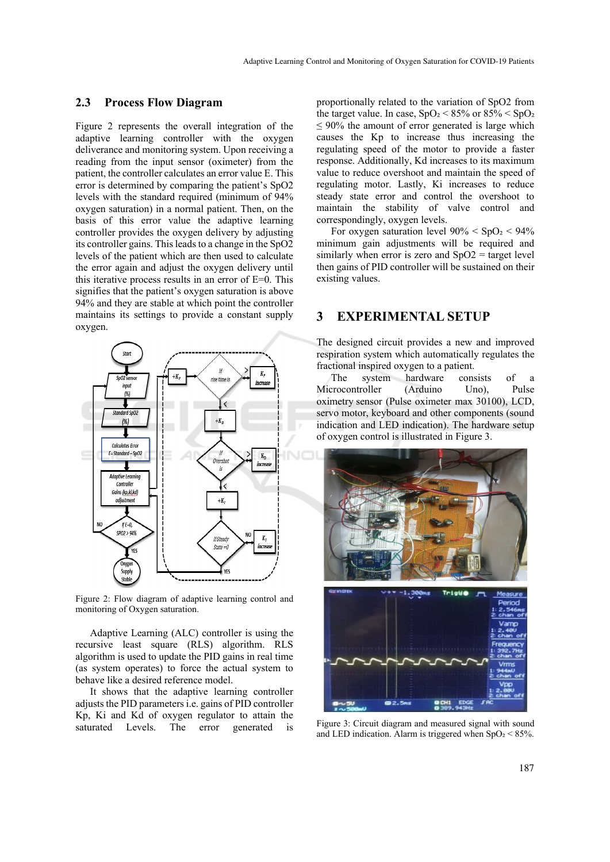#### **2.3 Process Flow Diagram**

Figure 2 represents the overall integration of the adaptive learning controller with the oxygen deliverance and monitoring system. Upon receiving a reading from the input sensor (oximeter) from the patient, the controller calculates an error value E. This error is determined by comparing the patient's SpO2 levels with the standard required (minimum of 94% oxygen saturation) in a normal patient. Then, on the basis of this error value the adaptive learning controller provides the oxygen delivery by adjusting its controller gains. This leads to a change in the SpO2 levels of the patient which are then used to calculate the error again and adjust the oxygen delivery until this iterative process results in an error of E=0. This signifies that the patient's oxygen saturation is above 94% and they are stable at which point the controller maintains its settings to provide a constant supply oxygen.



Figure 2: Flow diagram of adaptive learning control and monitoring of Oxygen saturation.

Adaptive Learning (ALC) controller is using the recursive least square (RLS) algorithm. RLS algorithm is used to update the PID gains in real time (as system operates) to force the actual system to behave like a desired reference model.

It shows that the adaptive learning controller adjusts the PID parameters i.e. gains of PID controller Kp, Ki and Kd of oxygen regulator to attain the saturated Levels. The error generated is

proportionally related to the variation of SpO2 from the target value. In case,  $SpO<sub>2</sub> < 85%$  or  $85% < SpO<sub>2</sub>$  $\leq 90\%$  the amount of error generated is large which causes the Kp to increase thus increasing the regulating speed of the motor to provide a faster response. Additionally, Kd increases to its maximum value to reduce overshoot and maintain the speed of regulating motor. Lastly, Ki increases to reduce steady state error and control the overshoot to maintain the stability of valve control and correspondingly, oxygen levels.

For oxygen saturation level  $90\% < SpO<sub>2</sub> < 94\%$ minimum gain adjustments will be required and similarly when error is zero and  $SpO2 =$  target level then gains of PID controller will be sustained on their existing values.

#### **3 EXPERIMENTAL SETUP**

The designed circuit provides a new and improved respiration system which automatically regulates the fractional inspired oxygen to a patient.

The system hardware consists of a Microcontroller (Arduino Uno), Pulse oximetry sensor (Pulse oximeter max 30100), LCD, servo motor, keyboard and other components (sound indication and LED indication). The hardware setup of oxygen control is illustrated in Figure 3.



Figure 3: Circuit diagram and measured signal with sound and LED indication. Alarm is triggered when  $SpO<sub>2</sub> < 85%$ .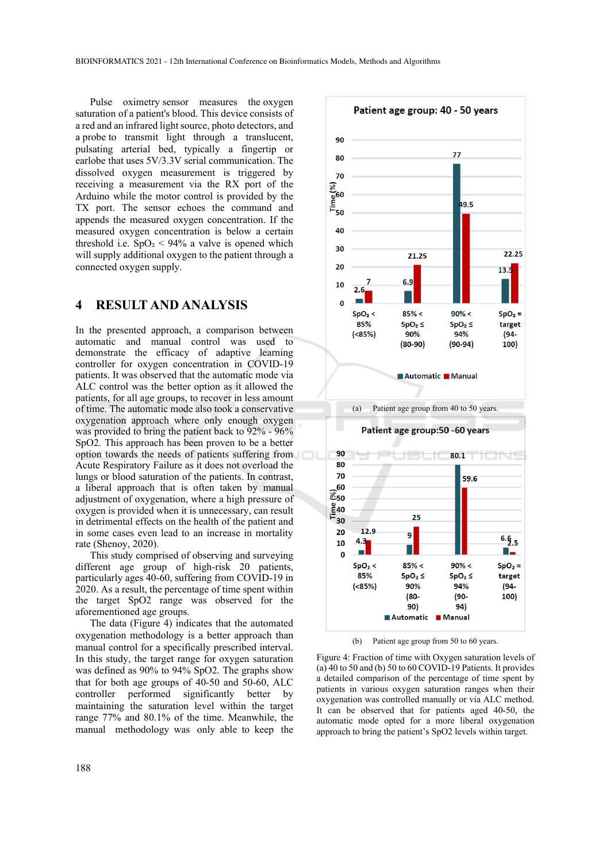Pulse oximetry sensor measures the oxygen saturation of a patient's blood. This device consists of a red and an infrared light source, photo detectors, and a probe to transmit light through a translucent, pulsating arterial bed, typically a fingertip or earlobe that uses 5V/3.3V serial communication. The dissolved oxygen measurement is triggered by receiving a measurement via the RX port of the Arduino while the motor control is provided by the TX port. The sensor echoes the command and appends the measured oxygen concentration. If the measured oxygen concentration is below a certain threshold i.e.  $SpO<sub>2</sub> < 94%$  a valve is opened which will supply additional oxygen to the patient through a connected oxygen supply.

### **4 RESULT AND ANALYSIS**

In the presented approach, a comparison between automatic and manual control was used to demonstrate the efficacy of adaptive learning controller for oxygen concentration in COVID-19 patients. It was observed that the automatic mode via ALC control was the better option as it allowed the patients, for all age groups, to recover in less amount of time. The automatic mode also took a conservative oxygenation approach where only enough oxygen was provided to bring the patient back to 92% - 96% SpO2. This approach has been proven to be a better option towards the needs of patients suffering from Acute Respiratory Failure as it does not overload the lungs or blood saturation of the patients. In contrast, a liberal approach that is often taken by manual adjustment of oxygenation, where a high pressure of oxygen is provided when it is unnecessary, can result in detrimental effects on the health of the patient and in some cases even lead to an increase in mortality rate (Shenoy, 2020).

This study comprised of observing and surveying different age group of high-risk 20 patients, particularly ages 40-60, suffering from COVID-19 in 2020. As a result, the percentage of time spent within the target SpO2 range was observed for the aforementioned age groups.

The data (Figure 4) indicates that the automated oxygenation methodology is a better approach than manual control for a specifically prescribed interval. In this study, the target range for oxygen saturation was defined as 90% to 94% SpO2. The graphs show that for both age groups of 40-50 and 50-60, ALC controller performed significantly better by maintaining the saturation level within the target range 77% and 80.1% of the time. Meanwhile, the manual methodology was only able to keep the



(b) Patient age group from 50 to 60 years.

Figure 4: Fraction of time with Oxygen saturation levels of (a) 40 to 50 and (b) 50 to 60 COVID-19 Patients. It provides a detailed comparison of the percentage of time spent by patients in various oxygen saturation ranges when their oxygenation was controlled manually or via ALC method. It can be observed that for patients aged 40-50, the automatic mode opted for a more liberal oxygenation approach to bring the patient's SpO2 levels within target.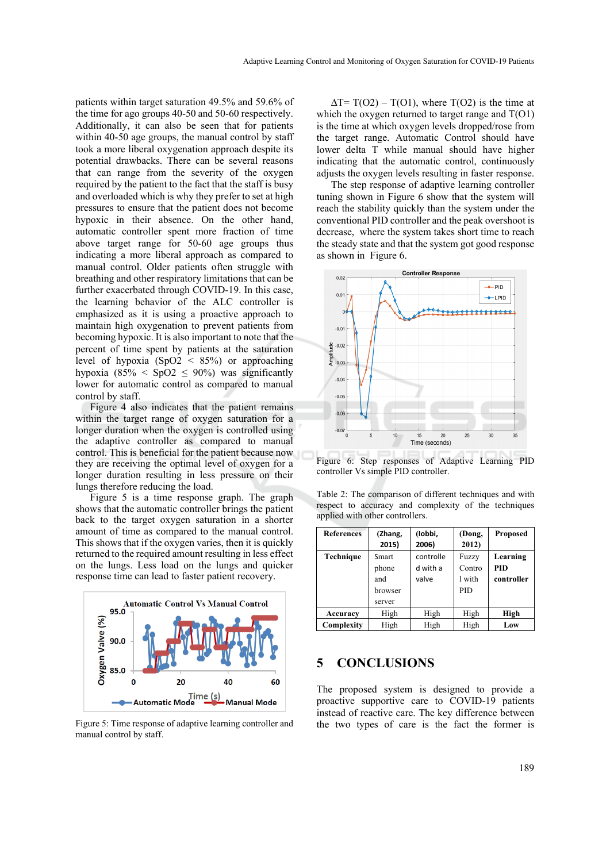patients within target saturation 49.5% and 59.6% of the time for ago groups 40-50 and 50-60 respectively. Additionally, it can also be seen that for patients within 40-50 age groups, the manual control by staff took a more liberal oxygenation approach despite its potential drawbacks. There can be several reasons that can range from the severity of the oxygen required by the patient to the fact that the staff is busy and overloaded which is why they prefer to set at high pressures to ensure that the patient does not become hypoxic in their absence. On the other hand, automatic controller spent more fraction of time above target range for 50-60 age groups thus indicating a more liberal approach as compared to manual control. Older patients often struggle with breathing and other respiratory limitations that can be further exacerbated through COVID-19. In this case, the learning behavior of the ALC controller is emphasized as it is using a proactive approach to maintain high oxygenation to prevent patients from becoming hypoxic. It is also important to note that the percent of time spent by patients at the saturation level of hypoxia (SpO2 < 85%) or approaching hypoxia (85%  $\leq$  SpO2  $\leq$  90%) was significantly lower for automatic control as compared to manual control by staff.

Figure 4 also indicates that the patient remains within the target range of oxygen saturation for a longer duration when the oxygen is controlled using the adaptive controller as compared to manual control. This is beneficial for the patient because now they are receiving the optimal level of oxygen for a longer duration resulting in less pressure on their lungs therefore reducing the load.

Figure 5 is a time response graph. The graph shows that the automatic controller brings the patient back to the target oxygen saturation in a shorter amount of time as compared to the manual control. This shows that if the oxygen varies, then it is quickly returned to the required amount resulting in less effect on the lungs. Less load on the lungs and quicker response time can lead to faster patient recovery.



Figure 5: Time response of adaptive learning controller and manual control by staff.

 $\Delta T = T(O2) - T(O1)$ , where  $T(O2)$  is the time at which the oxygen returned to target range and  $T(O1)$ is the time at which oxygen levels dropped/rose from the target range. Automatic Control should have lower delta T while manual should have higher indicating that the automatic control, continuously adjusts the oxygen levels resulting in faster response.

The step response of adaptive learning controller tuning shown in Figure 6 show that the system will reach the stability quickly than the system under the conventional PID controller and the peak overshoot is decrease, where the system takes short time to reach the steady state and that the system got good response as shown in Figure 6.



Figure 6: Step responses of Adaptive Learning PID controller Vs simple PID controller.

Table 2: The comparison of different techniques and with respect to accuracy and complexity of the techniques applied with other controllers.

| <b>References</b> | (Zhang,<br>2015)                           | (lobbi,<br>2006)               | (Dong,<br>2012)                         | <b>Proposed</b>                      |
|-------------------|--------------------------------------------|--------------------------------|-----------------------------------------|--------------------------------------|
| Technique         | Smart<br>phone<br>and<br>browser<br>server | controlle<br>d with a<br>valve | Fuzzy<br>Contro<br>1 with<br><b>PID</b> | Learning<br><b>PID</b><br>controller |
| Accuracy          | High                                       | High                           | High                                    | High                                 |
| Complexity        | High                                       | High                           | High                                    | Low                                  |

#### **5 CONCLUSIONS**

The proposed system is designed to provide a proactive supportive care to COVID-19 patients instead of reactive care. The key difference between the two types of care is the fact the former is